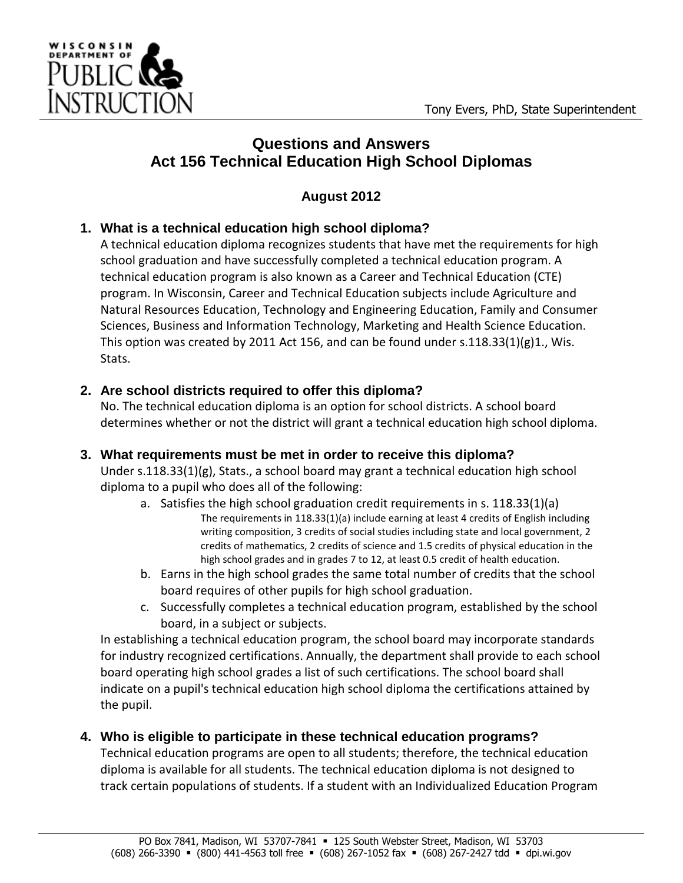

# **Questions and Answers Act 156 Technical Education High School Diplomas**

# **August 2012**

## **1. What is a technical education high school diploma?**

A technical education diploma recognizes students that have met the requirements for high school graduation and have successfully completed a technical education program. A technical education program is also known as a Career and Technical Education (CTE) program. In Wisconsin, Career and Technical Education subjects include Agriculture and Natural Resources Education, Technology and Engineering Education, Family and Consumer Sciences, Business and Information Technology, Marketing and Health Science Education. This option was created by 2011 Act 156, and can be found under s.118.33(1)(g)1., Wis. Stats.

## **2. Are school districts required to offer this diploma?**

No. The technical education diploma is an option for school districts. A school board determines whether or not the district will grant a technical education high school diploma.

## **3. What requirements must be met in order to receive this diploma?**

Under s.118.33(1)(g), Stats., a school board may grant a technical education high school diploma to a pupil who does all of the following:

- a. Satisfies the high school graduation credit requirements in s. 118.33(1)(a) The requirements in 118.33(1)(a) include earning at least 4 credits of English including writing composition, 3 credits of social studies including state and local government, 2 credits of mathematics, 2 credits of science and 1.5 credits of physical education in the high school grades and in grades 7 to 12, at least 0.5 credit of health education.
- b. Earns in the high school grades the same total number of credits that the school board requires of other pupils for high school graduation.
- c. Successfully completes a technical education program, established by the school board, in a subject or subjects.

In establishing a technical education program, the school board may incorporate standards for industry recognized certifications. Annually, the department shall provide to each school board operating high school grades a list of such certifications. The school board shall indicate on a pupil's technical education high school diploma the certifications attained by the pupil.

## **4. Who is eligible to participate in these technical education programs?**

Technical education programs are open to all students; therefore, the technical education diploma is available for all students. The technical education diploma is not designed to track certain populations of students. If a student with an Individualized Education Program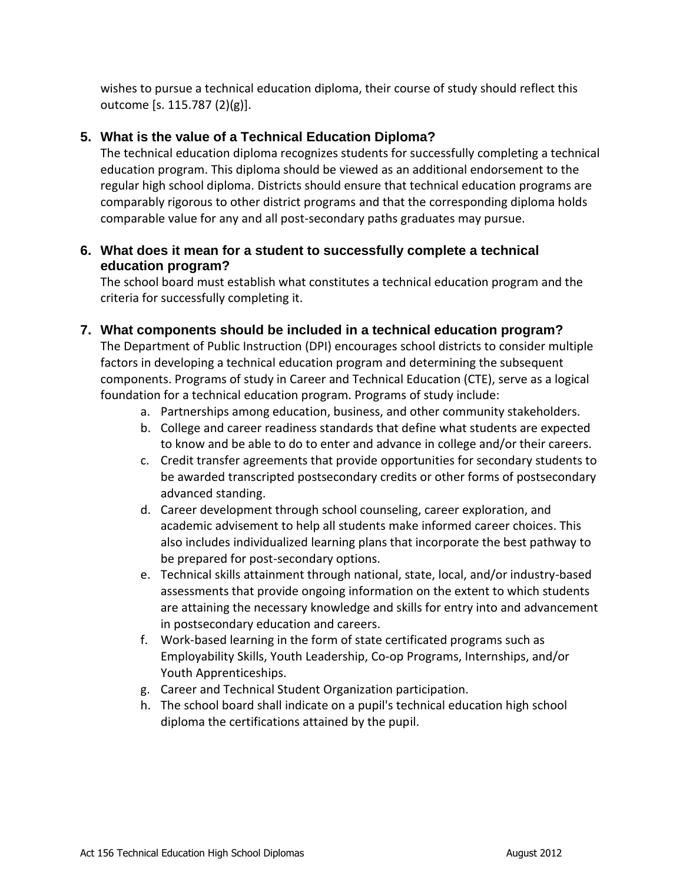wishes to pursue a technical education diploma, their course of study should reflect this outcome [s. 115.787 (2)(g)].

### **5. What is the value of a Technical Education Diploma?**

The technical education diploma recognizes students for successfully completing a technical education program. This diploma should be viewed as an additional endorsement to the regular high school diploma. Districts should ensure that technical education programs are comparably rigorous to other district programs and that the corresponding diploma holds comparable value for any and all post-secondary paths graduates may pursue.

#### **6. What does it mean for a student to successfully complete a technical education program?**

The school board must establish what constitutes a technical education program and the criteria for successfully completing it.

#### **7. What components should be included in a technical education program?**

The Department of Public Instruction (DPI) encourages school districts to consider multiple factors in developing a technical education program and determining the subsequent components. Programs of study in Career and Technical Education (CTE), serve as a logical foundation for a technical education program. Programs of study include:

- a. Partnerships among education, business, and other community stakeholders.
- b. College and career readiness standards that define what students are expected to know and be able to do to enter and advance in college and/or their careers.
- c. Credit transfer agreements that provide opportunities for secondary students to be awarded transcripted postsecondary credits or other forms of postsecondary advanced standing.
- d. Career development through school counseling, career exploration, and academic advisement to help all students make informed career choices. This also includes individualized learning plans that incorporate the best pathway to be prepared for post-secondary options.
- e. Technical skills attainment through national, state, local, and/or industry-based assessments that provide ongoing information on the extent to which students are attaining the necessary knowledge and skills for entry into and advancement in postsecondary education and careers.
- f. Work-based learning in the form of state certificated programs such as Employability Skills, Youth Leadership, Co-op Programs, Internships, and/or Youth Apprenticeships.
- g. Career and Technical Student Organization participation.
- h. The school board shall indicate on a pupil's technical education high school diploma the certifications attained by the pupil.